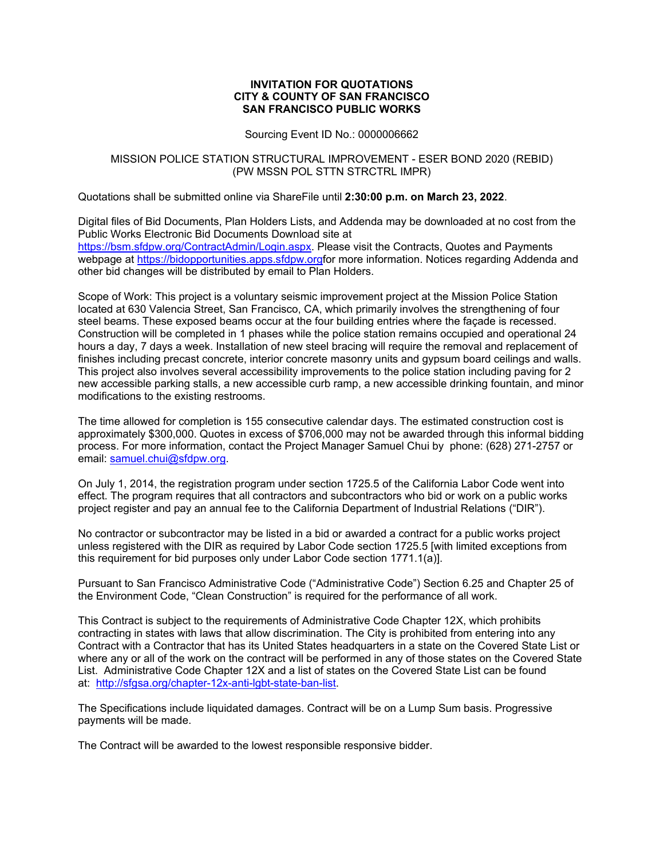## **INVITATION FOR QUOTATIONS CITY & COUNTY OF SAN FRANCISCO SAN FRANCISCO PUBLIC WORKS**

## Sourcing Event ID No.: 0000006662

## MISSION POLICE STATION STRUCTURAL IMPROVEMENT - ESER BOND 2020 (REBID) (PW MSSN POL STTN STRCTRL IMPR)

Quotations shall be submitted online via ShareFile until **2:30:00 p.m. on March 23, 2022**.

Digital files of Bid Documents, Plan Holders Lists, and Addenda may be downloaded at no cost from the Public Works Electronic Bid Documents Download site at [https://bsm.sfdpw.org/ContractAdmin/Login.aspx.](https://bsm.sfdpw.org/ContractAdmin/Login.aspx) Please visit the Contracts, Quotes and Payments webpage at [https://bidopportunities.apps.sfdpw.orgf](https://bidopportunities.apps.sfdpw.org/)or more information. Notices regarding Addenda and other bid changes will be distributed by email to Plan Holders.

Scope of Work: This project is a voluntary seismic improvement project at the Mission Police Station located at 630 Valencia Street, San Francisco, CA, which primarily involves the strengthening of four steel beams. These exposed beams occur at the four building entries where the façade is recessed. Construction will be completed in 1 phases while the police station remains occupied and operational 24 hours a day, 7 days a week. Installation of new steel bracing will require the removal and replacement of finishes including precast concrete, interior concrete masonry units and gypsum board ceilings and walls. This project also involves several accessibility improvements to the police station including paving for 2 new accessible parking stalls, a new accessible curb ramp, a new accessible drinking fountain, and minor modifications to the existing restrooms.

The time allowed for completion is 155 consecutive calendar days. The estimated construction cost is approximately \$300,000. Quotes in excess of \$706,000 may not be awarded through this informal bidding process. For more information, contact the Project Manager Samuel Chui by phone: (628) 271-2757 or email: [samuel.chui@sfdpw.org.](mailto:samuel.chui@sfdpw.org)

On July 1, 2014, the registration program under section 1725.5 of the California Labor Code went into effect. The program requires that all contractors and subcontractors who bid or work on a public works project register and pay an annual fee to the California Department of Industrial Relations ("DIR").

No contractor or subcontractor may be listed in a bid or awarded a contract for a public works project unless registered with the DIR as required by Labor Code section 1725.5 [with limited exceptions from this requirement for bid purposes only under Labor Code section 1771.1(a)].

Pursuant to San Francisco Administrative Code ("Administrative Code") Section 6.25 and Chapter 25 of the Environment Code, "Clean Construction" is required for the performance of all work.

This Contract is subject to the requirements of Administrative Code Chapter 12X, which prohibits contracting in states with laws that allow discrimination. The City is prohibited from entering into any Contract with a Contractor that has its United States headquarters in a state on the Covered State List or where any or all of the work on the contract will be performed in any of those states on the Covered State List. Administrative Code Chapter 12X and a list of states on the Covered State List can be found at: [http://sfgsa.org/chapter-12x-anti-lgbt-state-ban-list.](http://sfgsa.org/chapter-12x-anti-lgbt-state-ban-list)

The Specifications include liquidated damages. Contract will be on a Lump Sum basis. Progressive payments will be made.

The Contract will be awarded to the lowest responsible responsive bidder.